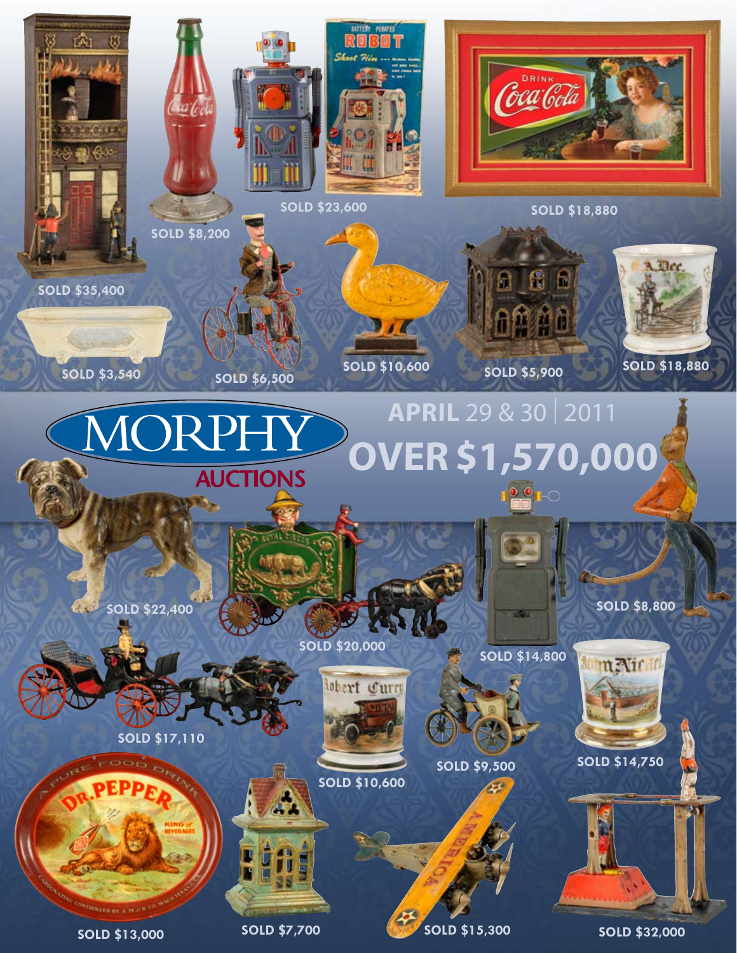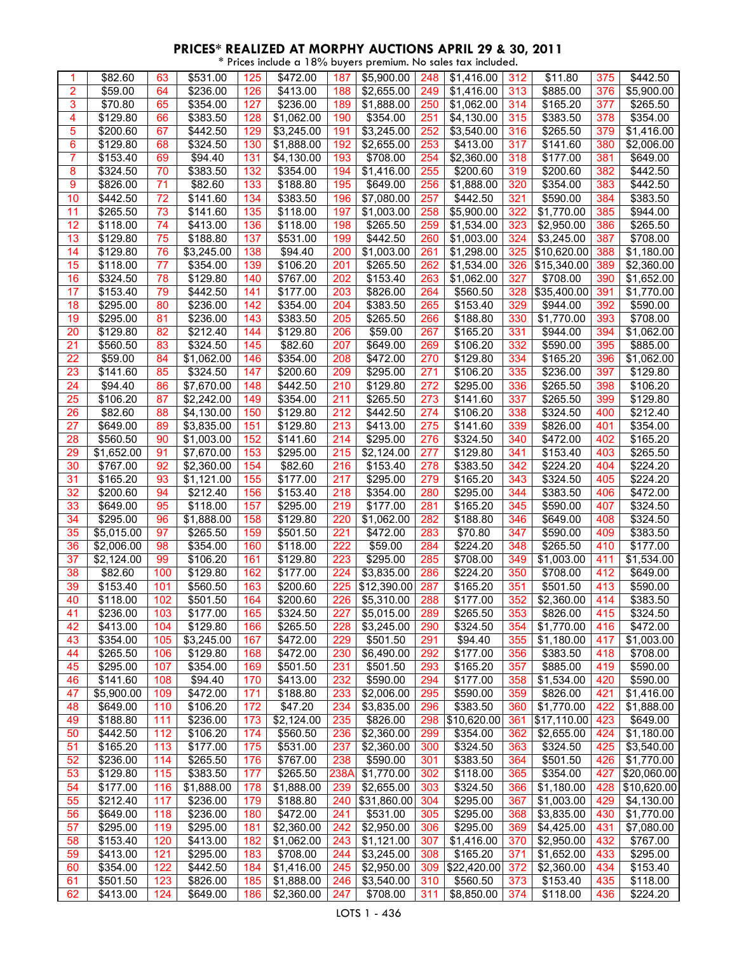\* Prices include a 18% buyers premium. No sales tax included.

|                | \$82.60              | 63  | \$531.00         | 125 | \$472.00             | 187  | \$5,900.00             | 248 | \$1,416.00  | 312 | \$11.80     | 375 | \$442.50    |
|----------------|----------------------|-----|------------------|-----|----------------------|------|------------------------|-----|-------------|-----|-------------|-----|-------------|
| $\overline{2}$ | \$59.00              | 64  | \$236.00         | 126 | \$413.00             | 188  | \$2,655.00             | 249 | \$1,416.00  | 313 | \$885.00    | 376 | \$5,900.00  |
| 3              | \$70.80              | 65  | \$354.00         | 127 | \$236.00             | 189  | \$1,888.00             | 250 | \$1,062.00  | 314 | \$165.20    | 377 | \$265.50    |
| 4              | \$129.80             | 66  | \$383.50         | 128 | \$1,062.00           | 190  | \$354.00               | 251 | \$4,130.00  | 315 | \$383.50    | 378 | \$354.00    |
|                |                      |     |                  |     |                      |      |                        |     |             |     |             |     |             |
| 5              | \$200.60             | 67  | \$442.50         | 129 | \$3,245.00           | 191  | \$3,245.00             | 252 | \$3,540.00  | 316 | \$265.50    | 379 | \$1,416.00  |
| 6              | \$129.80             | 68  | 3324.50          | 130 | \$1,888.00           | 192  | \$2,655.00             | 253 | \$413.00    | 317 | \$141.60    | 380 | \$2,006.00  |
| $\overline{7}$ | $\overline{$}153.40$ | 69  | \$94.40          | 131 | \$4,130.00           | 193  | $\overline{$}708.00$   | 254 | \$2,360.00  | 318 | \$177.00    | 381 | \$649.00    |
| 8              | \$324.50             | 70  | \$383.50         | 132 | $\overline{$}354.00$ | 194  | \$1,416.00             | 255 | \$200.60    | 319 | \$200.60    | 382 | \$442.50    |
| 9              | \$826.00             | 71  | \$82.60          | 133 | \$188.80             | 195  | \$649.00               | 256 | \$1,888.00  | 320 | \$354.00    | 383 | \$442.50    |
|                |                      |     |                  |     |                      |      |                        |     |             |     |             |     |             |
| 10             | \$442.50             | 72  | \$141.60         | 134 | \$383.50             | 196  | \$7,080.00             | 257 | \$442.50    | 321 | \$590.00    | 384 | \$383.50    |
| 11             | \$265.50             | 73  | \$141.60         | 135 | \$118.00             | 197  | \$1,003.00             | 258 | \$5,900.00  | 322 | \$1,770.00  | 385 | \$944.00    |
| 12             | \$118.00             | 74  | \$413.00         | 136 | \$118.00             | 198  | \$265.50               | 259 | \$1,534.00  | 323 | \$2,950.00  | 386 | \$265.50    |
| 13             | \$129.80             | 75  | \$188.80         | 137 | \$531.00             | 199  | \$442.50               | 260 | \$1,003.00  | 324 | \$3,245.00  | 387 | \$708.00    |
| 14             | \$129.80             | 76  |                  | 138 | \$94.40              | 200  |                        | 261 | \$1,298.00  | 325 | \$10,620.00 | 388 | \$1,180.00  |
|                |                      |     | \$3,245.00       |     |                      |      | \$1,003.00             |     |             |     |             |     |             |
| 15             | \$118.00             | 77  | \$354.00         | 139 | \$106.20             | 201  | \$265.50               | 262 | \$1,534.00  | 326 | \$15,340.00 | 389 | \$2,360.00  |
| 16             | \$324.50             | 78  | \$129.80         | 140 | \$767.00             | 202  | \$153.40               | 263 | \$1,062.00  | 327 | \$708.00    | 390 | \$1,652.00  |
| 17             | \$153.40             | 79  | \$442.50         | 141 | \$177.00             | 203  | \$826.00               | 264 | \$560.50    | 328 | \$35,400.00 | 391 | \$1,770.00  |
| 18             | \$295.00             | 80  | \$236.00         | 142 | \$354.00             | 204  | \$383.50               | 265 | \$153.40    | 329 | \$944.00    | 392 | \$590.00    |
|                |                      |     |                  |     |                      |      | $\overline{$}265.50$   |     |             |     |             |     |             |
| 19             | \$295.00             | 81  | \$236.00         | 143 | \$383.50             | 205  |                        | 266 | \$188.80    | 330 | \$1,770.00  | 393 | \$708.00    |
| 20             | \$129.80             | 82  | \$212.40         | 144 | \$129.80             | 206  | \$59.00                | 267 | \$165.20    | 331 | \$944.00    | 394 | \$1,062.00  |
| 21             | \$560.50             | 83  | \$324.50         | 145 | \$82.60              | 207  | \$649.00               | 269 | \$106.20    | 332 | \$590.00    | 395 | \$885.00    |
| 22             | \$59.00              | 84  | \$1,062.00       | 146 | $\overline{$}354.00$ | 208  | \$472.00               | 270 | \$129.80    | 334 | \$165.20    | 396 | \$1,062.00  |
| 23             | \$141.60             | 85  | \$324.50         | 147 | \$200.60             | 209  | \$295.00               | 271 | \$106.20    | 335 | \$236.00    | 397 | \$129.80    |
|                |                      |     |                  |     |                      |      |                        |     |             |     |             |     |             |
| 24             | \$94.40              | 86  | \$7,670.00       | 148 | \$442.50             | 210  | \$129.80               | 272 | \$295.00    | 336 | \$265.50    | 398 | \$106.20    |
| 25             | \$106.20             | 87  | \$2,242.00       | 149 | \$354.00             | 211  | \$265.50               | 273 | \$141.60    | 337 | \$265.50    | 399 | \$129.80    |
| 26             | \$82.60              | 88  | \$4,130.00       | 150 | \$129.80             | 212  | \$442.50               | 274 | \$106.20    | 338 | \$324.50    | 400 | \$212.40    |
| 27             | \$649.00             | 89  | \$3,835.00       | 151 | \$129.80             | 213  | \$413.00               | 275 | \$141.60    | 339 | \$826.00    | 401 | \$354.00    |
|                |                      | 90  |                  |     |                      |      |                        |     |             |     |             | 402 |             |
| 28             | \$560.50             |     | \$1,003.00       | 152 | \$141.60             | 214  | \$295.00               | 276 | \$324.50    | 340 | \$472.00    |     | \$165.20    |
| 29             | \$1,652.00           | 91  | \$7,670.00       | 153 | \$295.00             | 215  | \$2,124.00             | 277 | \$129.80    | 341 | \$153.40    | 403 | \$265.50    |
| 30             | \$767.00             | 92  | \$2,360.00       | 154 | \$82.60              | 216  | $\overline{$}153.40$   | 278 | \$383.50    | 342 | \$224.20    | 404 | \$224.20    |
| 31             | \$165.20             | 93  | \$1,121.00       | 155 | \$177.00             | 217  | \$295.00               | 279 | \$165.20    | 343 | \$324.50    | 405 | \$224.20    |
| 32             | \$200.60             | 94  | \$212.40         | 156 | \$153.40             | 218  | \$354.00               | 280 | \$295.00    | 344 | \$383.50    | 406 | \$472.00    |
|                |                      |     |                  | 157 |                      |      |                        |     |             |     |             |     |             |
| 33             | \$649.00             | 95  | \$118.00         |     | \$295.00             | 219  | \$177.00               | 281 | \$165.20    | 345 | \$590.00    | 407 | \$324.50    |
| 34             | \$295.00             | 96  | \$1,888.00       | 158 | \$129.80             | 220  | \$1,062.00             | 282 | \$188.80    | 346 | \$649.00    | 408 | \$324.50    |
| 35             | \$5,015.00           | 97  | \$265.50         | 159 | \$501.50             | 221  | \$472.00               | 283 | \$70.80     | 347 | \$590.00    | 409 | \$383.50    |
| 36             | \$2,006.00           | 98  | \$354.00         | 160 | \$118.00             | 222  | \$59.00                | 284 | \$224.20    | 348 | \$265.50    | 410 | \$177.00    |
| 37             | \$2,124.00           | 99  | \$106.20         | 161 | \$129.80             | 223  | \$295.00               | 285 | \$708.00    | 349 | \$1,003.00  | 411 | \$1,534.00  |
|                |                      |     |                  |     |                      |      |                        |     |             |     |             |     |             |
| 38             | \$82.60              | 100 | \$129.80         | 162 | \$177.00             | 224  | \$3,835.00             | 286 | \$224.20    | 350 | \$708.00    | 412 | \$649.00    |
| 39             | \$153.40             | 101 | \$560.50         | 163 | \$200.60             | 225  | \$12,390.00            | 287 | \$165.20    | 351 | \$501.50    | 413 | \$590.00    |
| 40             | \$118.00             | 102 | \$501.50         | 164 | \$200.60             | 226  | \$5,310.00             | 288 | \$177.00    | 352 | \$2,360.00  | 414 | \$383.50    |
| 41             | \$236.00             | 103 | \$177.00         | 165 | \$324.50             | 227  | \$5,015.00             | 289 | \$265.50    | 353 | \$826.00    | 415 | \$324.50    |
| 42             | \$413.00             | 104 | \$129.80         | 166 | \$265.50             | 228  | \$3,245.00             | 290 | \$324.50    | 354 | \$1,770.00  | 416 | \$472.00    |
|                |                      |     |                  |     |                      |      |                        |     |             |     |             |     |             |
| 43             | \$354.00             | 105 | \$3,245.00       | 167 | \$472.00             | 229  | \$501.50               | 291 | \$94.40     | 355 | \$1,180.00  | 417 | \$1,003.00  |
| 44             | \$265.50             | 106 | \$129.80         | 168 | \$472.00             | 230  | \$6,490.00             | 292 | \$177.00    | 356 | \$383.50    | 418 | \$708.00    |
| 45             | \$295.00             | 107 | \$354.00         | 169 | \$501.50             | 231  | \$501.50               | 293 | \$165.20    | 357 | \$885.00    | 419 | \$590.00    |
| 46             | \$141.60             | 108 | \$94.40          | 170 | \$413.00             | 232  | \$590.00               | 294 | \$177.00    | 358 | \$1,534.00  | 420 | \$590.00    |
| 47             | \$5,900.00           | 109 | $\sqrt{$472.00}$ | 171 | \$188.80             | 233  | \$2,006.00             | 295 | \$590.00    | 359 | \$826.00    | 421 | \$1,416.00  |
|                |                      |     | \$106.20         |     |                      |      |                        |     |             |     |             |     |             |
| 48             | \$649.00             | 110 |                  | 172 | \$47.20              | 234  | \$3,835.00             | 296 | \$383.50    | 360 | \$1,770.00  | 422 | \$1,888.00  |
| 49             | \$188.80             | 111 | \$236.00         | 173 | \$2,124.00           | 235  | \$826.00               | 298 | \$10,620.00 | 361 | \$17,110.00 | 423 | \$649.00    |
| 50             | \$442.50             | 112 | \$106.20         | 174 | \$560.50             | 236  | \$2,360.00             | 299 | \$354.00    | 362 | \$2,655.00  | 424 | \$1,180.00  |
| 51             | \$165.20             | 113 | \$177.00         | 175 | \$531.00             | 237  | $\overline{$2,360.00}$ | 300 | \$324.50    | 363 | \$324.50    | 425 | \$3,540.00  |
| 52             | \$236.00             | 114 | \$265.50         | 176 | \$767.00             | 238  | \$590.00               | 301 | \$383.50    | 364 | \$501.50    | 426 | \$1,770.00  |
|                |                      |     |                  |     |                      |      |                        |     |             |     |             |     |             |
| 53             | \$129.80             | 115 | \$383.50         | 177 | \$265.50             | 238A | \$1,770.00             | 302 | \$118.00    | 365 | \$354.00    | 427 | \$20,060.00 |
| 54             | \$177.00             | 116 | \$1,888.00       | 178 | \$1,888.00           | 239  | \$2,655.00             | 303 | \$324.50    | 366 | \$1,180.00  | 428 | \$10,620.00 |
| 55             | \$212.40             | 117 | \$236.00         | 179 | \$188.80             | 240  | \$31,860.00            | 304 | \$295.00    | 367 | \$1,003.00  | 429 | \$4,130.00  |
| 56             | \$649.00             | 118 | \$236.00         | 180 | \$472.00             | 241  | \$531.00               | 305 | \$295.00    | 368 | \$3,835.00  | 430 | \$1,770.00  |
| 57             |                      | 119 | \$295.00         | 181 |                      |      |                        |     | \$295.00    |     |             |     |             |
|                | \$295.00             |     |                  |     | \$2,360.00           | 242  | \$2,950.00             | 306 |             | 369 | \$4,425.00  | 431 | \$7,080.00  |
| 58             | \$153.40             | 120 | \$413.00         | 182 | \$1,062.00           | 243  | \$1,121.00             | 307 | \$1,416.00  | 370 | \$2,950.00  | 432 | \$767.00    |
| 59             | \$413.00             | 121 | \$295.00         | 183 | \$708.00             | 244  | \$3,245.00             | 308 | \$165.20    | 371 | \$1,652.00  | 433 | \$295.00    |
| 60             | \$354.00             | 122 | \$442.50         | 184 | \$1,416.00           | 245  | \$2,950.00             | 309 | \$22,420.00 | 372 | \$2,360.00  | 434 | \$153.40    |
| 61             | \$501.50             | 123 | \$826.00         | 185 | \$1,888.00           | 246  | \$3,540.00             | 310 | \$560.50    | 373 | \$153.40    | 435 | \$118.00    |
|                |                      |     |                  |     |                      |      |                        |     |             |     |             |     |             |
| 62             | \$413.00             | 124 | \$649.00         | 186 | \$2,360.00           | 247  | \$708.00               | 311 | \$8,850.00  | 374 | \$118.00    | 436 | \$224.20    |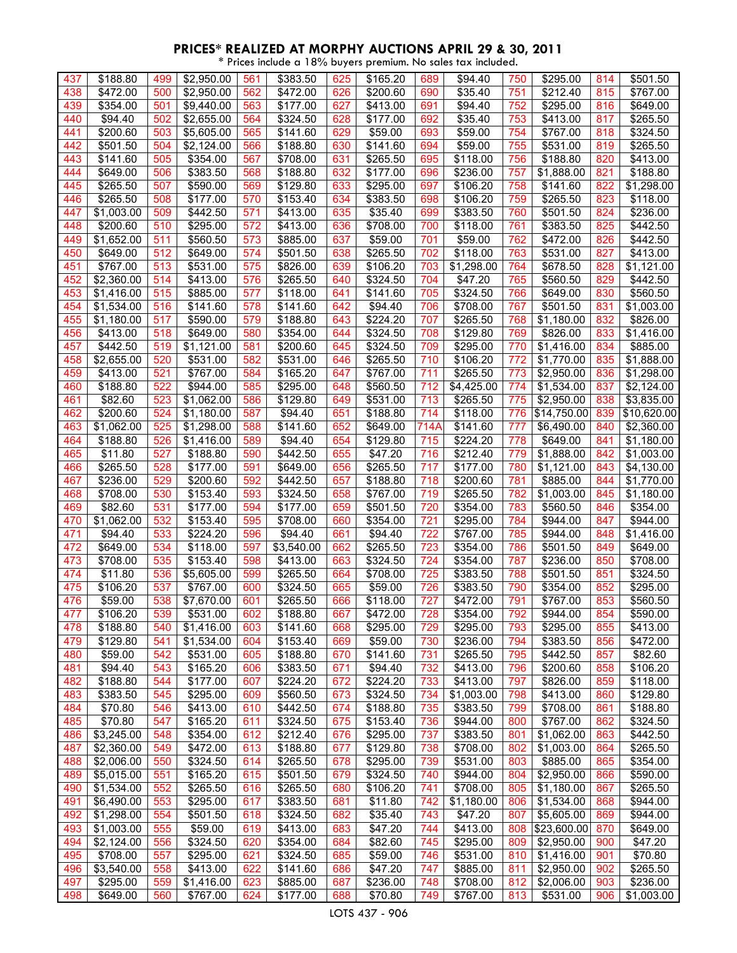\* Prices include a 18% buyers premium. No sales tax included.

| 437 | \$188.80                | 499 | \$2,950.00           | 561 | \$383.50   | 625 | \$165.20                         | 689  | \$94.40              | 750 | \$295.00    | 814 | \$501.50             |
|-----|-------------------------|-----|----------------------|-----|------------|-----|----------------------------------|------|----------------------|-----|-------------|-----|----------------------|
| 438 | \$472.00                | 500 | \$2,950.00           | 562 | \$472.00   | 626 | \$200.60                         | 690  | \$35.40              | 751 | \$212.40    | 815 | \$767.00             |
|     |                         |     |                      |     |            |     |                                  |      |                      |     |             |     |                      |
| 439 | \$354.00                | 501 | \$9,440.00           | 563 | \$177.00   | 627 | \$413.00                         | 691  | \$94.40              | 752 | \$295.00    | 816 | \$649.00             |
| 440 | \$94.40                 | 502 | \$2,655.00           | 564 | \$324.50   | 628 | \$177.00                         | 692  | \$35.40              | 753 | \$413.00    | 817 | \$265.50             |
| 441 | \$200.60                | 503 | \$5,605.00           | 565 | \$141.60   | 629 | \$59.00                          | 693  | \$59.00              | 754 | \$767.00    | 818 | \$324.50             |
| 442 | \$501.50                | 504 | \$2,124.00           | 566 | \$188.80   | 630 | \$141.60                         | 694  | \$59.00              | 755 | \$531.00    | 819 | $\overline{$}265.50$ |
| 443 | \$141.60                | 505 | \$354.00             | 567 | \$708.00   | 631 | \$265.50                         | 695  | \$118.00             | 756 | \$188.80    | 820 | \$413.00             |
| 444 | \$649.00                | 506 | \$383.50             | 568 | \$188.80   | 632 | $\overline{$}177.00$             | 696  | \$236.00             | 757 | \$1,888.00  | 821 | \$188.80             |
| 445 | \$265.50                | 507 | \$590.00             | 569 | \$129.80   | 633 | \$295.00                         | 697  | \$106.20             | 758 | \$141.60    | 822 | \$1,298.00           |
| 446 | \$265.50                | 508 | \$177.00             | 570 | \$153.40   | 634 | \$383.50                         | 698  | \$106.20             | 759 | \$265.50    | 823 | \$118.00             |
| 447 | \$1,003.00              | 509 | \$442.50             | 571 | \$413.00   | 635 | \$35.40                          | 699  | \$383.50             | 760 | \$501.50    | 824 | \$236.00             |
| 448 |                         |     |                      |     |            |     |                                  |      |                      |     |             |     |                      |
|     | \$200.60                | 510 | \$295.00             | 572 | \$413.00   | 636 | \$708.00                         | 700  | \$118.00             | 761 | \$383.50    | 825 | \$442.50             |
| 449 | \$1,652.00              | 511 | \$560.50             | 573 | \$885.00   | 637 | \$59.00                          | 701  | \$59.00              | 762 | \$472.00    | 826 | \$442.50             |
| 450 | \$649.00                | 512 | \$649.00             | 574 | \$501.50   | 638 | \$265.50                         | 702  | \$118.00             | 763 | \$531.00    | 827 | \$413.00             |
| 451 | \$767.00                | 513 | \$531.00             | 575 | \$826.00   | 639 | \$106.20                         | 703  | \$1,298.00           | 764 | \$678.50    | 828 | \$1,121.00           |
| 452 | \$2,360.00              | 514 | \$413.00             | 576 | \$265.50   | 640 | \$324.50                         | 704  | \$47.20              | 765 | \$560.50    | 829 | \$442.50             |
| 453 | \$1,416.00              | 515 | \$885.00             | 577 | \$118.00   | 641 | \$141.60                         | 705  | \$324.50             | 766 | \$649.00    | 830 | \$560.50             |
| 454 | \$1,534.00              | 516 | \$141.60             | 578 | \$141.60   | 642 | \$94.40                          | 706  | \$708.00             | 767 | \$501.50    | 831 | \$1,003.00           |
| 455 | \$1,180.00              | 517 | $\overline{$}590.00$ | 579 | \$188.80   | 643 | \$224.20                         | 707  | \$265.50             | 768 | \$1,180.00  | 832 | \$826.00             |
| 456 | \$413.00                | 518 | \$649.00             | 580 | \$354.00   | 644 | \$324.50                         | 708  | \$129.80             | 769 | \$826.00    | 833 | \$1,416.00           |
| 457 | \$442.50                | 519 | \$1,121.00           | 581 | \$200.60   | 645 | \$324.50                         | 709  | \$295.00             | 770 | \$1,416.00  | 834 | \$885.00             |
| 458 | $\overline{$}2,655.00$  | 520 | \$531.00             | 582 | \$531.00   | 646 | \$265.50                         | 710  | \$106.20             | 772 | \$1,770.00  | 835 | \$1,888.00           |
| 459 | \$413.00                | 521 | \$767.00             | 584 | \$165.20   | 647 | \$767.00                         | 711  | \$265.50             | 773 | \$2,950.00  | 836 | \$1,298.00           |
| 460 | \$188.80                | 522 | \$944.00             | 585 | \$295.00   | 648 |                                  | 712  | \$4,425.00           | 774 | \$1,534.00  | 837 | \$2,124.00           |
|     |                         | 523 |                      | 586 |            |     | \$560.50<br>$\overline{$}531.00$ | 713  | \$265.50             |     |             | 838 |                      |
| 461 | \$82.60                 |     | \$1,062.00           |     | \$129.80   | 649 |                                  |      |                      | 775 | \$2,950.00  |     | \$3,835.00           |
| 462 | \$200.60                | 524 | \$1,180.00           | 587 | \$94.40    | 651 | \$188.80                         | 714  | \$118.00             | 776 | \$14,750.00 | 839 | \$10,620.00          |
| 463 | \$1,062.00              | 525 | \$1,298.00           | 588 | \$141.60   | 652 | \$649.00                         | 714A | \$141.60             | 777 | \$6,490.00  | 840 | \$2,360.00           |
| 464 | \$188.80                | 526 | \$1,416.00           | 589 | \$94.40    | 654 | \$129.80                         | 715  | $\overline{$}224.20$ | 778 | \$649.00    | 841 | \$1,180.00           |
| 465 | $\overline{$}11.80$     | 527 | \$188.80             | 590 | \$442.50   | 655 | \$47.20                          | 716  | \$212.40             | 779 | \$1,888.00  | 842 | \$1,003.00           |
| 466 | \$265.50                | 528 | \$177.00             | 591 | \$649.00   | 656 | \$265.50                         | 717  | \$177.00             | 780 | \$1,121.00  | 843 | \$4,130.00           |
| 467 | \$236.00                | 529 | \$200.60             | 592 | \$442.50   | 657 | \$188.80                         | 718  | \$200.60             | 781 | \$885.00    | 844 | \$1,770.00           |
| 468 | \$708.00                | 530 | \$153.40             | 593 | \$324.50   | 658 | \$767.00                         | 719  | \$265.50             | 782 | \$1,003.00  | 845 | \$1,180.00           |
| 469 | \$82.60                 | 531 | \$177.00             | 594 | \$177.00   | 659 | \$501.50                         | 720  | \$354.00             | 783 | \$560.50    | 846 | \$354.00             |
| 470 | \$1,062.00              | 532 | \$153.40             | 595 | \$708.00   | 660 | \$354.00                         | 721  | \$295.00             | 784 | \$944.00    | 847 | \$944.00             |
| 471 | $\overline{$}94.40$     | 533 | \$224.20             | 596 | \$94.40    | 661 | \$94.40                          | 722  | \$767.00             | 785 | \$944.00    | 848 | \$1,416.00           |
| 472 | \$649.00                | 534 | \$118.00             | 597 | \$3,540.00 | 662 | \$265.50                         | 723  | \$354.00             | 786 | \$501.50    | 849 | \$649.00             |
| 473 | \$708.00                | 535 | \$153.40             | 598 | \$413.00   | 663 | \$324.50                         | 724  | \$354.00             | 787 | \$236.00    | 850 | \$708.00             |
| 474 | \$11.80                 | 536 | \$5,605.00           | 599 | \$265.50   | 664 | \$708.00                         | 725  | \$383.50             | 788 | \$501.50    | 851 | \$324.50             |
| 475 | \$106.20                | 537 | \$767.00             | 600 | \$324.50   | 665 | \$59.00                          | 726  | \$383.50             | 790 | \$354.00    | 852 | \$295.00             |
| 476 | \$59.00                 | 538 | \$7.670.00           | 601 | \$265.50   | 666 | \$118.00                         | 727  | $\sqrt{3}472.00$     | 791 | \$767.00    | 853 | \$560.50             |
|     |                         |     | \$531.00             |     |            |     |                                  |      | \$354.00             |     |             |     |                      |
| 477 | \$106.20                | 539 |                      | 602 | \$188.80   | 667 | \$472.00                         | 728  |                      | 792 | \$944.00    | 854 | \$590.00             |
| 478 | \$188.80                | 540 | \$1,416.00           | 603 | \$141.60   | 668 | \$295.00                         | 729  | \$295.00             | 793 | \$295.00    | 855 | \$413.00             |
| 479 | \$129.80                | 541 | \$1,534.00           | 604 | \$153.40   | 669 | \$59.00                          | 730  | \$236.00             | 794 | \$383.50    | 856 | \$472.00             |
| 480 | \$59.00                 | 542 | \$531.00             | 605 | \$188.80   | 670 | \$141.60                         | 731  | \$265.50             | 795 | \$442.50    | 857 | \$82.60              |
| 481 | \$94.40                 | 543 | \$165.20             | 606 | \$383.50   | 671 | \$94.40                          | 732  | \$413.00             | 796 | \$200.60    | 858 | \$106.20             |
| 482 | \$188.80                | 544 | \$177.00             | 607 | \$224.20   | 672 | \$224.20                         | 733  | \$413.00             | 797 | \$826.00    | 859 | \$118.00             |
| 483 | \$383.50                | 545 | \$295.00             | 609 | \$560.50   | 673 | \$324.50                         | 734  | \$1,003.00           | 798 | \$413.00    | 860 | \$129.80             |
| 484 | \$70.80                 | 546 | \$413.00             | 610 | \$442.50   | 674 | \$188.80                         | 735  | \$383.50             | 799 | \$708.00    | 861 | \$188.80             |
| 485 | \$70.80                 | 547 | \$165.20             | 611 | \$324.50   | 675 | \$153.40                         | 736  | \$944.00             | 800 | \$767.00    | 862 | \$324.50             |
| 486 | \$3,245.00              | 548 | \$354.00             | 612 | \$212.40   | 676 | \$295.00                         | 737  | \$383.50             | 801 | \$1,062.00  | 863 | \$442.50             |
| 487 | \$2,360.00              | 549 | \$472.00             | 613 | \$188.80   | 677 | \$129.80                         | 738  | \$708.00             | 802 | \$1,003.00  | 864 | \$265.50             |
| 488 | \$2,006.00              | 550 | \$324.50             | 614 | \$265.50   | 678 | \$295.00                         | 739  | \$531.00             | 803 | \$885.00    | 865 | \$354.00             |
| 489 | \$5,015.00              | 551 | \$165.20             | 615 | \$501.50   | 679 | \$324.50                         | 740  | \$944.00             | 804 | \$2,950.00  | 866 | \$590.00             |
| 490 | $\overline{\$1,534.00}$ | 552 | \$265.50             | 616 | \$265.50   | 680 | \$106.20                         | 741  | \$708.00             | 805 | \$1,180.00  | 867 | \$265.50             |
| 491 | \$6,490.00              | 553 | \$295.00             | 617 | \$383.50   | 681 | \$11.80                          | 742  | \$1,180.00           | 806 | \$1,534.00  | 868 | \$944.00             |
| 492 | \$1,298.00              | 554 | \$501.50             | 618 | \$324.50   | 682 | \$35.40                          | 743  | \$47.20              | 807 | \$5,605.00  | 869 | \$944.00             |
|     |                         |     | \$59.00              |     |            |     | \$47.20                          |      | \$413.00             |     |             |     |                      |
| 493 | \$1,003.00              | 555 |                      | 619 | \$413.00   | 683 |                                  | 744  |                      | 808 | \$23,600.00 | 870 | \$649.00             |
| 494 | \$2,124.00              | 556 | \$324.50             | 620 | \$354.00   | 684 | \$82.60                          | 745  | \$295.00             | 809 | \$2,950.00  | 900 | \$47.20              |
| 495 | \$708.00                | 557 | \$295.00             | 621 | \$324.50   | 685 | \$59.00                          | 746  | \$531.00             | 810 | \$1,416.00  | 901 | \$70.80              |
| 496 | \$3,540.00              | 558 | \$413.00             | 622 | \$141.60   | 686 | \$47.20                          | 747  | \$885.00             | 811 | \$2,950.00  | 902 | \$265.50             |
| 497 | \$295.00                | 559 | \$1,416.00           | 623 | \$885.00   | 687 | \$236.00                         | 748  | \$708.00             | 812 | \$2,006.00  | 903 | \$236.00             |
| 498 | \$649.00                | 560 | \$767.00             | 624 | \$177.00   | 688 | \$70.80                          | 749  | \$767.00             | 813 | \$531.00    | 906 | \$1,003.00           |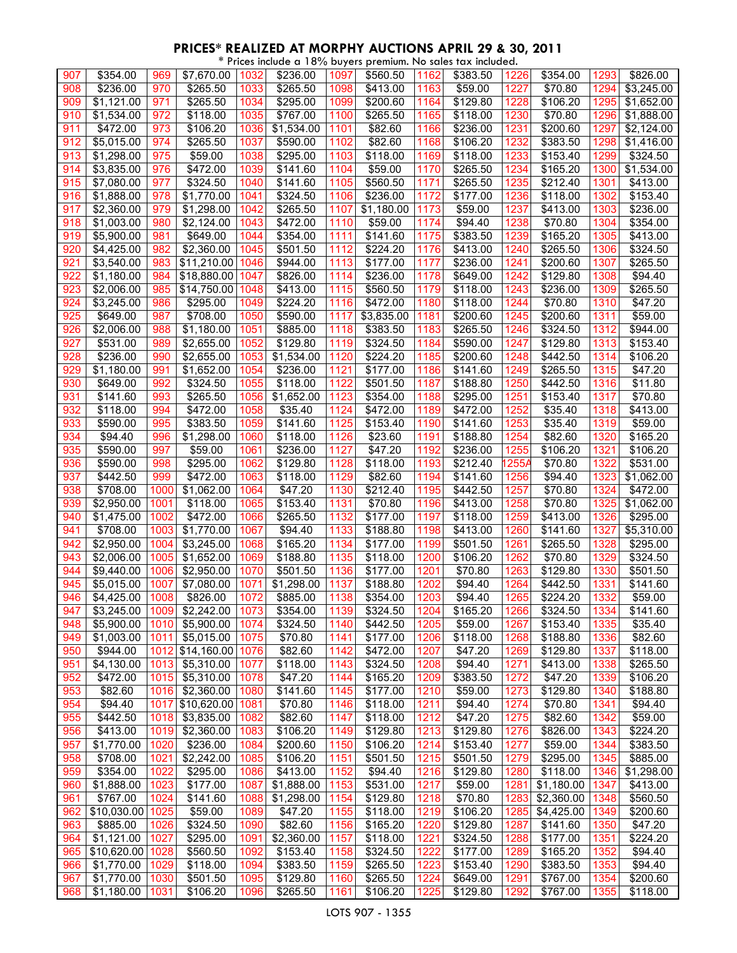| * Prices include a 18% buyers premium. No sales tax included. |                        |      |                        |      |                        |      |                      |      |          |        |            |      |                        |
|---------------------------------------------------------------|------------------------|------|------------------------|------|------------------------|------|----------------------|------|----------|--------|------------|------|------------------------|
| 907                                                           | \$354.00               | 969  | \$7,670.00             | 1032 | \$236.00               | 1097 | \$560.50             | 1162 | \$383.50 | 1226   | \$354.00   | 1293 | \$826.00               |
| 908                                                           | $\overline{$}236.00$   | 970  | \$265.50               | 1033 | \$265.50               | 1098 | \$413.00             | 1163 | \$59.00  | 1227   | \$70.80    | 1294 | \$3,245.00             |
| 909                                                           | \$1,121.00             | 971  | \$265.50               | 1034 | \$295.00               | 1099 | \$200.60             | 1164 | \$129.80 | 1228   | \$106.20   | 1295 | \$1,652.00             |
| 910                                                           |                        | 972  | \$118.00               | 1035 | \$767.00               | 1100 | \$265.50             | 1165 | \$118.00 | 1230   | \$70.80    | 1296 |                        |
|                                                               | \$1,534.00             |      |                        |      |                        |      |                      |      |          |        |            |      | \$1,888.00             |
| 911                                                           | \$472.00               | 973  | \$106.20               | 1036 | \$1,534.00             | 1101 | \$82.60              | 1166 | \$236.00 | $1231$ | \$200.60   | 1297 | \$2,124.00             |
| 912                                                           | \$5,015.00             | 974  | \$265.50               | 1037 | \$590.00               | 1102 | \$82.60              | 1168 | \$106.20 | 1232   | \$383.50   | 1298 | \$1,416.00             |
| 913                                                           | \$1,298.00             | 975  | \$59.00                | 1038 | \$295.00               | 1103 | \$118.00             | 1169 | \$118.00 | 1233   | \$153.40   | 1299 | \$324.50               |
| 914                                                           | \$3,835.00             | 976  | \$472.00               | 1039 | \$141.60               | 1104 | \$59.00              | 1170 | \$265.50 | 1234   | \$165.20   | 1300 | $\overline{$}1,534.00$ |
| 915                                                           | \$7,080.00             | 977  | \$324.50               | 1040 | \$141.60               | 1105 | \$560.50             | 1171 | \$265.50 | 1235   | \$212.40   | 1301 | \$413.00               |
| 916                                                           | \$1,888.00             | 978  | \$1,770.00             | 1041 | \$324.50               | 1106 | \$236.00             | 1172 | \$177.00 | 1236   | \$118.00   | 1302 | \$153.40               |
| 917                                                           | \$2,360.00             | 979  | \$1,298.00             | 1042 | \$265.50               | 1107 | \$1,180.00           | 1173 | \$59.00  | 1237   | \$413.00   | 1303 | \$236.00               |
|                                                               |                        |      |                        |      |                        |      |                      |      |          |        |            |      |                        |
| 918                                                           | \$1,003.00             | 980  | \$2,124.00             | 1043 | \$472.00               | 1110 | \$59.00              | 1174 | \$94.40  | 1238   | \$70.80    | 1304 | \$354.00               |
| 919                                                           | \$5,900.00             | 981  | \$649.00               | 1044 | \$354.00               | 1111 | \$141.60             | 1175 | \$383.50 | 1239   | \$165.20   | 1305 | \$413.00               |
| 920                                                           | \$4,425.00             | 982  | \$2,360.00             | 1045 | \$501.50               | 1112 | \$224.20             | 1176 | \$413.00 | 1240   | \$265.50   | 1306 | \$324.50               |
| 921                                                           | \$3,540.00             | 983  | \$11,210.00            | 1046 | \$944.00               | 1113 | \$177.00             | 1177 | \$236.00 | 1241   | \$200.60   | 1307 | \$265.50               |
| 922                                                           | \$1,180.00             | 984  | \$18,880.00            | 1047 | \$826.00               | 1114 | \$236.00             | 1178 | \$649.00 | 1242   | \$129.80   | 1308 | \$94.40                |
| 923                                                           | \$2,006.00             | 985  | \$14,750.00            | 1048 | \$413.00               | 1115 | \$560.50             | 1179 | \$118.00 | 1243   | \$236.00   | 1309 | \$265.50               |
| 924                                                           | \$3,245.00             | 986  | \$295.00               | 1049 | \$224.20               | 1116 | \$472.00             | 1180 | \$118.00 | 1244   | \$70.80    | 1310 | $\overline{$47.20}$    |
| 925                                                           | \$649.00               | 987  | \$708.00               | 1050 | \$590.00               | 1117 | \$3,835.00           | 1181 | \$200.60 | 1245   | \$200.60   | 1311 | \$59.00                |
|                                                               |                        |      |                        |      |                        |      |                      |      |          |        |            |      |                        |
| 926                                                           | \$2,006.00             | 988  | $\overline{$}1,180.00$ | 1051 | \$885.00               | 1118 | \$383.50             | 1183 | \$265.50 | 1246   | \$324.50   | 1312 | \$944.00               |
| 927                                                           | \$531.00               | 989  | \$2,655.00             | 1052 | \$129.80               | 1119 | \$324.50             | 1184 | \$590.00 | 1247   | \$129.80   | 1313 | \$153.40               |
| 928                                                           | \$236.00               | 990  | \$2,655.00             | 1053 | $\overline{$}1,534.00$ | 1120 | \$224.20             | 1185 | \$200.60 | 1248   | \$442.50   | 1314 | \$106.20               |
| 929                                                           | \$1,180.00             | 991  | \$1,652.00             | 1054 | \$236.00               | 1121 | \$177.00             | 1186 | \$141.60 | 1249   | \$265.50   | 1315 | \$47.20                |
| 930                                                           | \$649.00               | 992  | \$324.50               | 1055 | \$118.00               | 1122 | \$501.50             | 1187 | \$188.80 | 1250   | \$442.50   | 1316 | $\overline{$}11.80$    |
| 931                                                           | \$141.60               | 993  | \$265.50               | 1056 | \$1,652.00             | 1123 | $\overline{$}354.00$ | 1188 | \$295.00 | 1251   | \$153.40   | 1317 | \$70.80                |
| 932                                                           | \$118.00               | 994  | \$472.00               | 1058 | \$35.40                | 1124 | \$472.00             | 1189 | \$472.00 | 1252   | \$35.40    | 1318 | \$413.00               |
| 933                                                           | \$590.00               |      | \$383.50               | 1059 | \$141.60               | 1125 | \$153.40             | 1190 | \$141.60 | 1253   | \$35.40    | 1319 | \$59.00                |
|                                                               |                        | 995  |                        |      |                        |      |                      |      |          |        |            |      |                        |
| 934                                                           | \$94.40                | 996  | \$1,298.00             | 1060 | \$118.00               | 1126 | \$23.60              | 1191 | \$188.80 | 1254   | \$82.60    | 1320 | \$165.20               |
| 935                                                           | $\overline{$}590.00$   | 997  | \$59.00                | 1061 | \$236.00               | 1127 | \$47.20              | 1192 | \$236.00 | 1255   | \$106.20   | 1321 | \$106.20               |
| 936                                                           | \$590.00               | 998  | \$295.00               | 1062 | \$129.80               | 1128 | \$118.00             | 1193 | \$212.40 | 1255A  | \$70.80    | 1322 | \$531.00               |
| 937                                                           | \$442.50               | 999  | \$472.00               | 1063 | \$118.00               | 1129 | \$82.60              | 1194 | \$141.60 | 1256   | \$94.40    | 1323 | \$1,062.00             |
| 938                                                           | \$708.00               | 1000 | \$1,062.00             | 1064 | \$47.20                | 1130 | \$212.40             | 1195 | \$442.50 | 1257   | \$70.80    | 1324 | \$472.00               |
| 939                                                           | $\overline{$}2,950.00$ | 1001 | \$118.00               | 1065 | \$153.40               | 1131 | \$70.80              | 1196 | \$413.00 | 1258   | \$70.80    | 1325 | \$1,062.00             |
| 940                                                           | \$1,475.00             | 1002 | \$472.00               | 1066 | \$265.50               | 1132 | \$177.00             | 1197 | \$118.00 | 1259   | \$413.00   | 1326 | \$295.00               |
| 941                                                           | \$708.00               | 1003 | \$1,770.00             | 1067 | \$94.40                | 1133 | \$188.80             | 1198 | \$413.00 | 1260   | \$141.60   | 1327 | \$5,310.00             |
| 942                                                           | $\overline{$}2,950.00$ | 1004 | \$3,245.00             | 1068 | \$165.20               | 1134 | \$177.00             | 1199 | \$501.50 | 1261   | \$265.50   | 1328 | \$295.00               |
|                                                               |                        |      |                        |      |                        |      |                      |      |          |        |            |      |                        |
| 943                                                           | \$2,006.00             | 1005 | \$1,652.00             | 1069 | \$188.80               | 1135 | \$118.00             | 1200 | \$106.20 | 1262   | \$70.80    | 1329 | \$324.50               |
| 944                                                           | $\overline{$9,440.00}$ | 1006 | \$2,950.00             | 1070 | \$501.50               | 1136 | \$177.00             | 1201 | \$70.80  | 1263   | \$129.80   | 1330 | \$501.50               |
| 945                                                           | \$5,015.00             | 1007 | \$7,080.00             | 1071 | $\overline{$1,298.00}$ | 1137 | \$188.80             | 1202 | \$94.40  | 1264   | \$442.50   | 1331 | \$141.60               |
| 946                                                           | \$4,425.00 1008        |      | \$826.00               |      | 1072 \$885.00          | 1138 | \$354.00             | 1203 | \$94.40  | 1265   | \$224.20   | 1332 | \$59.00                |
| 947                                                           | \$3,245.00             | 1009 | \$2,242.00             | 1073 | \$354.00               | 1139 | \$324.50             | 1204 | \$165.20 | 1266   | \$324.50   | 1334 | \$141.60               |
| 948                                                           | \$5,900.00             | 1010 | \$5,900.00             | 1074 | \$324.50               | 1140 | \$442.50             | 1205 | \$59.00  | 1267   | \$153.40   | 1335 | \$35.40                |
| 949                                                           | \$1,003.00             | 1011 | \$5,015.00             | 1075 | \$70.80                | 1141 | \$177.00             | 1206 | \$118.00 | 1268   | \$188.80   | 1336 | \$82.60                |
| 950                                                           | \$944.00               | 1012 | \$14,160.00            | 1076 | \$82.60                | 1142 | \$472.00             | 1207 | \$47.20  | 1269   | \$129.80   | 1337 | \$118.00               |
|                                                               |                        |      | \$5,310.00             |      |                        | 1143 |                      |      | \$94.40  |        |            |      |                        |
| 951                                                           | \$4,130.00             | 1013 |                        | 1077 | \$118.00               |      | \$324.50             | 1208 |          | 1271   | \$413.00   | 1338 | \$265.50               |
| 952                                                           | \$472.00               | 1015 | \$5,310.00             | 1078 | \$47.20                | 1144 | \$165.20             | 1209 | \$383.50 | 1272   | \$47.20    | 1339 | \$106.20               |
| 953                                                           | \$82.60                | 1016 | \$2,360.00             | 1080 | \$141.60               | 1145 | \$177.00             | 1210 | \$59.00  | 1273   | \$129.80   | 1340 | \$188.80               |
| 954                                                           | \$94.40                | 1017 | \$10,620.00            | 1081 | \$70.80                | 1146 | \$118.00             | 1211 | \$94.40  | 1274   | \$70.80    | 1341 | \$94.40                |
| 955                                                           | \$442.50               | 1018 | \$3,835.00             | 1082 | \$82.60                | 1147 | \$118.00             | 1212 | \$47.20  | 1275   | \$82.60    | 1342 | \$59.00                |
| 956                                                           | \$413.00               | 1019 | \$2,360.00             | 1083 | \$106.20               | 1149 | \$129.80             | 1213 | \$129.80 | 1276   | \$826.00   | 1343 | \$224.20               |
| 957                                                           | \$1,770.00             | 1020 | \$236.00               | 1084 | \$200.60               | 1150 | \$106.20             | 1214 | \$153.40 | 1277   | \$59.00    | 1344 | \$383.50               |
| 958                                                           | \$708.00               | 1021 | \$2,242.00             | 1085 | \$106.20               | 1151 | \$501.50             | 1215 | \$501.50 | 1279   | \$295.00   | 1345 | \$885.00               |
| 959                                                           | \$354.00               | 1022 | \$295.00               | 1086 | \$413.00               | 1152 | \$94.40              | 1216 | \$129.80 | 1280   | \$118.00   | 1346 | \$1,298.00             |
|                                                               |                        |      |                        |      |                        |      |                      |      |          |        |            |      |                        |
| 960                                                           | \$1,888.00             | 1023 | \$177.00               | 1087 | \$1,888.00             | 1153 | \$531.00             | 1217 | \$59.00  | 1281   | \$1,180.00 | 1347 | \$413.00               |
| 961                                                           | \$767.00               | 1024 | \$141.60               | 1088 | \$1,298.00             | 1154 | \$129.80             | 1218 | \$70.80  | 1283   | \$2,360.00 | 1348 | \$560.50               |
| 962                                                           | \$10,030.00 1025       |      | \$59.00                | 1089 | \$47.20                | 1155 | \$118.00             | 1219 | \$106.20 | 1285   | \$4,425.00 | 1349 | \$200.60               |
| 963                                                           | \$885.00               | 1026 | \$324.50               | 1090 | \$82.60                | 1156 | \$165.20             | 1220 | \$129.80 | 1287   | \$141.60   | 1350 | \$47.20                |
| 964                                                           | \$1,121.00             | 1027 | \$295.00               | 1091 | \$2,360.00             | 1157 | \$118.00             | 1221 | \$324.50 | 1288   | \$177.00   | 1351 | \$224.20               |
| 965                                                           | \$10,620.00 1028       |      | \$560.50               | 1092 | \$153.40               | 1158 | \$324.50             | 1222 | \$177.00 | 1289   | \$165.20   | 1352 | \$94.40                |
| 966                                                           | \$1,770.00             | 1029 | \$118.00               | 1094 | \$383.50               | 1159 | \$265.50             | 1223 | \$153.40 | 1290   | \$383.50   | 1353 | \$94.40                |
| 967                                                           | $\frac{1}{1,770.00}$   | 1030 | \$501.50               | 1095 | \$129.80               | 1160 | \$265.50             | 1224 | \$649.00 | 1291   | \$767.00   | 1354 | \$200.60               |
| 968                                                           |                        |      | \$106.20               | 1096 |                        | 1161 | \$106.20             |      |          | 1292   | \$767.00   |      | \$118.00               |
|                                                               | \$1,180.00             | 1031 |                        |      | \$265.50               |      |                      | 1225 | \$129.80 |        |            | 1355 |                        |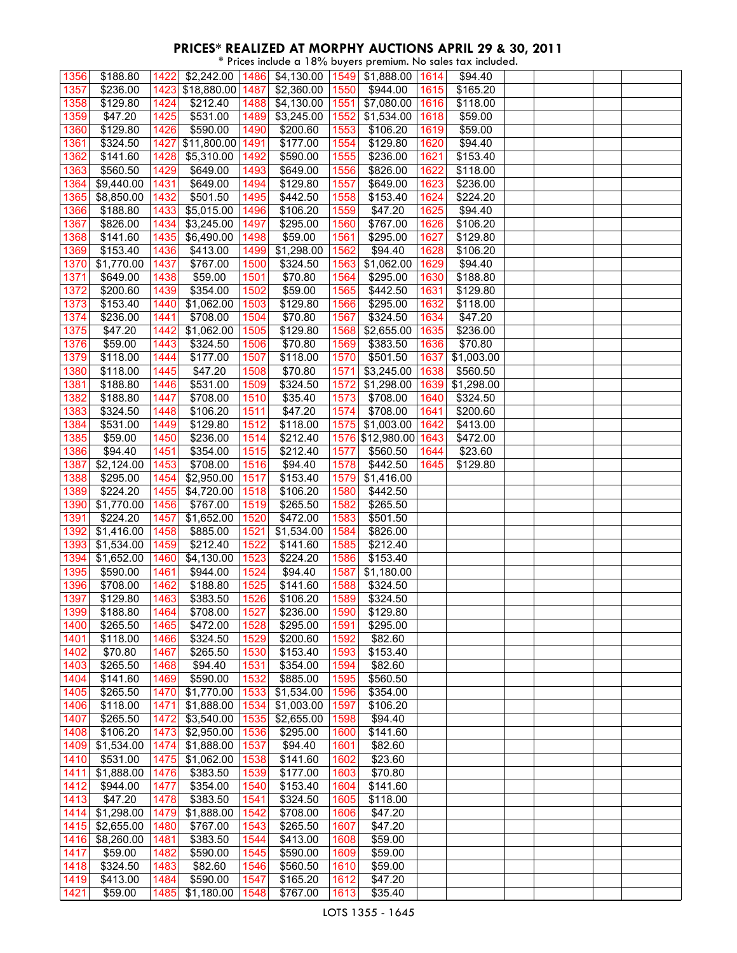\* Prices include a 18% buyers premium. No sales tax included.

| 1356              | \$188.80             | 1422 | \$2,242.00         | 1486 | \$4,130.00 |      | 1549 \$1,888.00      | 1614 | \$94.40    |  |  |
|-------------------|----------------------|------|--------------------|------|------------|------|----------------------|------|------------|--|--|
| 1357              | \$236.00             |      | 1423 \$18,880.00   | 1487 | \$2,360.00 | 1550 | \$944.00             | 1615 | \$165.20   |  |  |
|                   |                      |      |                    |      |            |      |                      |      |            |  |  |
| 1358              | \$129.80             | 1424 | \$212.40           | 1488 | \$4,130.00 | 1551 | \$7,080.00           | 1616 | \$118.00   |  |  |
| 1359              | \$47.20              | 1425 | \$531.00           | 1489 | \$3,245.00 | 1552 | \$1,534.00           | 1618 | \$59.00    |  |  |
| 1360              | \$129.80             | 1426 | \$590.00           | 1490 | \$200.60   | 1553 | \$106.20             | 1619 | \$59.00    |  |  |
| 1361              | \$324.50             | 1427 | \$11,800.00        | 1491 | \$177.00   | 1554 | \$129.80             | 1620 | \$94.40    |  |  |
| $1362$            | \$141.60             | 1428 | \$5,310.00         | 1492 | \$590.00   | 1555 | $\overline{$}236.00$ | 1621 | \$153.40   |  |  |
| 1363              | \$560.50             | 1429 | \$649.00           | 1493 | \$649.00   | 1556 | \$826.00             | 1622 | \$118.00   |  |  |
| 1364              | \$9,440.00           | 1431 | \$649.00           | 1494 | \$129.80   | 1557 | \$649.00             | 1623 | \$236.00   |  |  |
| 1365              | \$8,850.00           | 1432 | \$501.50           | 1495 | \$442.50   | 1558 | \$153.40             | 1624 | \$224.20   |  |  |
| 1366              | \$188.80             | 1433 | \$5,015.00         | 1496 | \$106.20   | 1559 | \$47.20              | 1625 | \$94.40    |  |  |
| 1367              | \$826.00             | 1434 | \$3,245.00         | 1497 | \$295.00   | 1560 | \$767.00             | 1626 | \$106.20   |  |  |
|                   |                      |      |                    |      | \$59.00    |      | \$295.00             | 1627 |            |  |  |
| 1368<br>1369      | \$141.60<br>\$153.40 | 1435 | \$6,490.00         | 1498 |            | 1561 |                      | 1628 | \$129.80   |  |  |
|                   |                      | 1436 | \$413.00           | 1499 | \$1,298.00 | 1562 | \$94.40              |      | \$106.20   |  |  |
| 1370              | \$1,770.00           | 1437 | \$767.00           | 1500 | \$324.50   | 1563 | \$1,062.00           | 1629 | \$94.40    |  |  |
| 1371              | \$649.00             | 1438 | \$59.00            | 1501 | \$70.80    | 1564 | \$295.00             | 1630 | \$188.80   |  |  |
| 1372              | \$200.60             | 1439 | \$354.00           | 1502 | \$59.00    | 1565 | \$442.50             | 1631 | \$129.80   |  |  |
| 1373              | \$153.40             | 1440 | \$1,062.00         | 1503 | \$129.80   | 1566 | \$295.00             | 1632 | \$118.00   |  |  |
| 1374              | \$236.00             | 1441 | \$708.00           | 1504 | \$70.80    | 1567 | \$324.50             | 1634 | \$47.20    |  |  |
| 1375              | $\overline{$47.20}$  | 1442 | \$1,062.00         | 1505 | \$129.80   | 1568 | \$2,655.00           | 1635 | \$236.00   |  |  |
| 1376              | \$59.00              | 1443 | \$324.50           | 1506 | \$70.80    | 1569 | \$383.50             | 1636 | \$70.80    |  |  |
| 1379              | \$118.00             | 1444 | \$177.00           | 1507 | \$118.00   | 1570 | \$501.50             | 1637 | \$1,003.00 |  |  |
| 1380              | \$118.00             | 1445 | \$47.20            | 1508 | \$70.80    | 1571 | \$3,245.00           | 1638 | \$560.50   |  |  |
| 1381              | \$188.80             | 1446 | \$531.00           | 1509 | \$324.50   | 1572 | \$1,298.00           | 1639 | \$1,298.00 |  |  |
| 1382              | \$188.80             | 1447 | \$708.00           | 1510 | \$35.40    | 1573 | \$708.00             | 1640 | \$324.50   |  |  |
| 1383              | 3324.50              | 1448 | \$106.20           | 1511 | \$47.20    | 1574 | \$708.00             | 1641 | \$200.60   |  |  |
| 1384              | \$531.00             | 1449 | \$129.80           | 1512 | \$118.00   | 1575 | \$1,003.00           | 1642 | \$413.00   |  |  |
| 1385              | \$59.00              | 1450 | \$236.00           | 1514 | \$212.40   |      | 1576 \$12,980.00     | 1643 | \$472.00   |  |  |
| 1386              | \$94.40              | 1451 | \$354.00           | 1515 | \$212.40   | 1577 | \$560.50             | 1644 | \$23.60    |  |  |
| 1387              | \$2,124.00           | 1453 | \$708.00           | 1516 | \$94.40    | 1578 | \$442.50             | 1645 | \$129.80   |  |  |
| 1388              | \$295.00             | 1454 | $\sqrt{$2,950.00}$ | 1517 | \$153.40   | 1579 | \$1,416.00           |      |            |  |  |
|                   |                      |      |                    |      |            |      |                      |      |            |  |  |
| 1389              | \$224.20             | 1455 | \$4,720.00         | 1518 | \$106.20   | 1580 | \$442.50             |      |            |  |  |
| 1390              | \$1,770.00           | 1456 | \$767.00           | 1519 | \$265.50   | 1582 | \$265.50             |      |            |  |  |
| 1391              | \$224.20             | 1457 | \$1,652.00         | 1520 | \$472.00   | 1583 | \$501.50             |      |            |  |  |
| 1392              | \$1,416.00           | 1458 | \$885.00           | 1521 | \$1,534.00 | 1584 | \$826.00             |      |            |  |  |
| 1393              | \$1,534.00           | 1459 | \$212.40           | 1522 | \$141.60   | 1585 | \$212.40             |      |            |  |  |
| 1394              | \$1,652.00           | 1460 | \$4,130.00         | 1523 | \$224.20   | 1586 | \$153.40             |      |            |  |  |
| 1395              | \$590.00             | 1461 | \$944.00           | 1524 | \$94.40    | 1587 | \$1,180.00           |      |            |  |  |
| 1396              | \$708.00             | 1462 | \$188.80           | 1525 | \$141.60   | 1588 | \$324.50             |      |            |  |  |
| 1397              | \$129.80             | 1463 | \$383.50           | 1526 | \$106.20   | 1589 | \$324.50             |      |            |  |  |
| 1399              | \$188.80             | 1464 | \$708.00           | 1527 | \$236.00   | 1590 | \$129.80             |      |            |  |  |
| 1400              | \$265.50             | 1465 | \$472.00           | 1528 | \$295.00   | 1591 | \$295.00             |      |            |  |  |
| 1401              | \$118.00             | 1466 | \$324.50           | 1529 | \$200.60   | 1592 | \$82.60              |      |            |  |  |
| 1402              | \$70.80              | 1467 | \$265.50           | 1530 | \$153.40   | 1593 | \$153.40             |      |            |  |  |
| 1403              | \$265.50             | 1468 | \$94.40            | 1531 | \$354.00   | 1594 | \$82.60              |      |            |  |  |
| 1404              | \$141.60             | 1469 | \$590.00           | 1532 | \$885.00   | 1595 | \$560.50             |      |            |  |  |
| 1405              | 3265.50              | 1470 | \$1,770.00         | 1533 | \$1,534.00 | 1596 | \$354.00             |      |            |  |  |
| 1406              | \$118.00             | 1471 | \$1,888.00         | 1534 | \$1,003.00 | 1597 | \$106.20             |      |            |  |  |
| 1407              | \$265.50             | 1472 | \$3,540.00         | 1535 | \$2,655.00 | 1598 | \$94.40              |      |            |  |  |
| 1408              | \$106.20             | 1473 | \$2,950.00         | 1536 | \$295.00   | 1600 | \$141.60             |      |            |  |  |
| 1409              |                      | 1474 |                    | 1537 | \$94.40    | 1601 |                      |      |            |  |  |
|                   | \$1,534.00           |      | \$1,888.00         |      |            |      | \$82.60              |      |            |  |  |
| 1410              | \$531.00             | 1475 | \$1,062.00         | 1538 | \$141.60   | 1602 | \$23.60              |      |            |  |  |
| 1411              | \$1,888.00           | 1476 | \$383.50           | 1539 | \$177.00   | 1603 | \$70.80              |      |            |  |  |
| 1412              | \$944.00             | 1477 | \$354.00           | 1540 | \$153.40   | 1604 | \$141.60             |      |            |  |  |
| $14\overline{13}$ | \$47.20              | 1478 | \$383.50           | 1541 | \$324.50   | 1605 | \$118.00             |      |            |  |  |
| 1414              | \$1,298.00           | 1479 | \$1,888.00         | 1542 | \$708.00   | 1606 | \$47.20              |      |            |  |  |
| 1415              | \$2,655.00           | 1480 | \$767.00           | 1543 | \$265.50   | 1607 | \$47.20              |      |            |  |  |
| 1416              | \$8,260.00           | 1481 | \$383.50           | 1544 | \$413.00   | 1608 | \$59.00              |      |            |  |  |
| 1417              | \$59.00              | 1482 | \$590.00           | 1545 | \$590.00   | 1609 | \$59.00              |      |            |  |  |
| 1418              | \$324.50             | 1483 | \$82.60            | 1546 | \$560.50   | 1610 | \$59.00              |      |            |  |  |
| 1419              | \$413.00             | 1484 | \$590.00           | 1547 | \$165.20   | 1612 | \$47.20              |      |            |  |  |
| 1421              | \$59.00              | 1485 | \$1,180.00         | 1548 | \$767.00   | 1613 | \$35.40              |      |            |  |  |